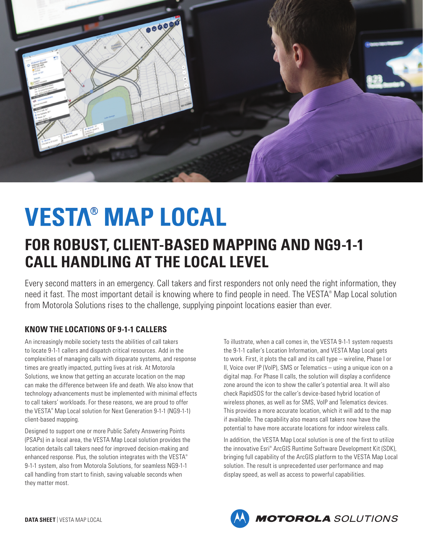

# ® **MAP LOCAL**

# **FOR ROBUST, CLIENT-BASED MAPPING AND NG9-1-1 CALL HANDLING AT THE LOCAL LEVEL**

Every second matters in an emergency. Call takers and first responders not only need the right information, they need it fast. The most important detail is knowing where to find people in need. The VESTA® Map Local solution from Motorola Solutions rises to the challenge, supplying pinpoint locations easier than ever.

# **KNOW THE LOCATIONS OF 9-1-1 CALLERS**

An increasingly mobile society tests the abilities of call takers to locate 9-1-1 callers and dispatch critical resources. Add in the complexities of managing calls with disparate systems, and response times are greatly impacted, putting lives at risk. At Motorola Solutions, we know that getting an accurate location on the map can make the difference between life and death. We also know that technology advancements must be implemented with minimal effects to call takers' workloads. For these reasons, we are proud to offer the VESTA® Map Local solution for Next Generation 9-1-1 (NG9-1-1) client-based mapping.

Designed to support one or more Public Safety Answering Points (PSAPs) in a local area, the VESTA Map Local solution provides the location details call takers need for improved decision-making and enhanced response. Plus, the solution integrates with the VESTA® 9-1-1 system, also from Motorola Solutions, for seamless NG9-1-1 call handling from start to finish, saving valuable seconds when they matter most.

To illustrate, when a call comes in, the VESTA 9-1-1 system requests the 9-1-1 caller's Location Information, and VESTA Map Local gets to work. First, it plots the call and its call type – wireline, Phase I or II, Voice over IP (VoIP), SMS or Telematics – using a unique icon on a digital map. For Phase II calls, the solution will display a confidence zone around the icon to show the caller's potential area. It will also check RapidSOS for the caller's device-based hybrid location of wireless phones, as well as for SMS, VoIP and Telematics devices. This provides a more accurate location, which it will add to the map if available. The capability also means call takers now have the potential to have more accurate locations for indoor wireless calls.

In addition, the VESTA Map Local solution is one of the first to utilize the innovative Esri® ArcGIS Runtime Software Development Kit (SDK), bringing full capability of the ArcGIS platform to the VESTA Map Local solution. The result is unprecedented user performance and map display speed, as well as access to powerful capabilities.